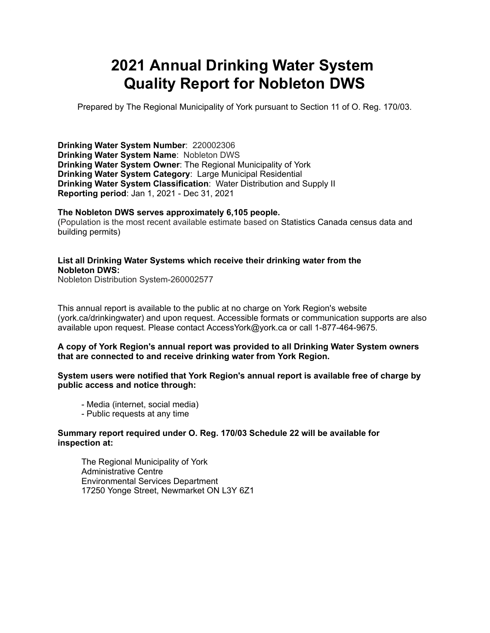# **2021 Annual Drinking Water System Quality Report for Nobleton DWS**

Prepared by The Regional Municipality of York pursuant to Section 11 of O. Reg. 170/03.

**Drinking Water System Number**: 220002306 **Drinking Water System Name**: Nobleton DWS **Drinking Water System Owner**: The Regional Municipality of York **Drinking Water System Category**: Large Municipal Residential **Drinking Water System Classification**: Water Distribution and Supply II **Reporting period**: Jan 1, 2021 - Dec 31, 2021

### **The Nobleton DWS serves approximately 6,105 people.**

(Population is the most recent available estimate based on Statistics Canada census data and building permits)

### **List all Drinking Water Systems which receive their drinking water from the Nobleton DWS:**

Nobleton Distribution System-260002577

This annual report is available to the public at no charge on York Region's website (york.ca/drinkingwater) and upon request. Accessible formats or communication supports are also available upon request. Please contact [AccessYork@york.ca](mailto:AccessYork@york.ca) or call 1-877-464-9675.

### **A copy of York Region's annual report was provided to all Drinking Water System owners that are connected to and receive drinking water from York Region.**

### **System users were notified that York Region's annual report is available free of charge by public access and notice through:**

- Media (internet, social media)
- Public requests at any time

### **Summary report required under O. Reg. 170/03 Schedule 22 will be available for inspection at:**

 The Regional Municipality of York Administrative Centre Environmental Services Department 17250 Yonge Street, Newmarket ON L3Y 6Z1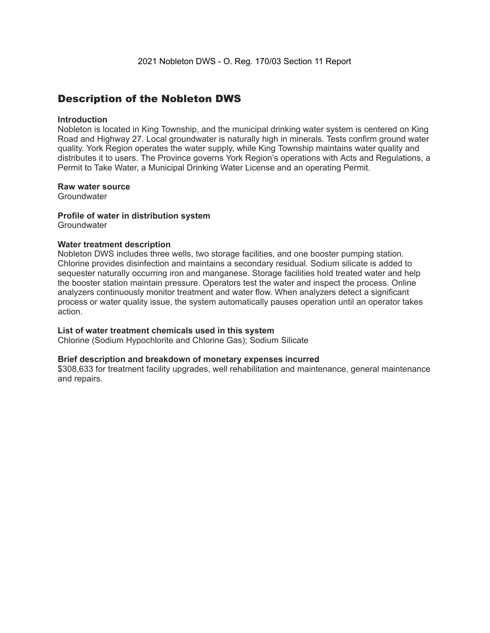### Description of the Nobleton DWS

### **Introduction**

Nobleton is located in King Township, and the municipal drinking water system is centered on King Road and Highway 27. Local groundwater is naturally high in minerals. Tests confirm ground water quality. York Region operates the water supply, while King Township maintains water quality and distributes it to users. The Province governs York Region's operations with Acts and Regulations, a Permit to Take Water, a Municipal Drinking Water License and an operating Permit.

#### **Raw water source**

**Groundwater** 

#### **Profile of water in distribution system Groundwater**

### **Water treatment description**

Nobleton DWS includes three wells, two storage facilities, and one booster pumping station. Chlorine provides disinfection and maintains a secondary residual. Sodium silicate is added to sequester naturally occurring iron and manganese. Storage facilities hold treated water and help the booster station maintain pressure. Operators test the water and inspect the process. Online analyzers continuously monitor treatment and water flow. When analyzers detect a significant process or water quality issue, the system automatically pauses operation until an operator takes action.

### **List of water treatment chemicals used in this system**

Chlorine (Sodium Hypochlorite and Chlorine Gas); Sodium Silicate

### **Brief description and breakdown of monetary expenses incurred**

\$308,633 for treatment facility upgrades, well rehabilitation and maintenance, general maintenance and repairs.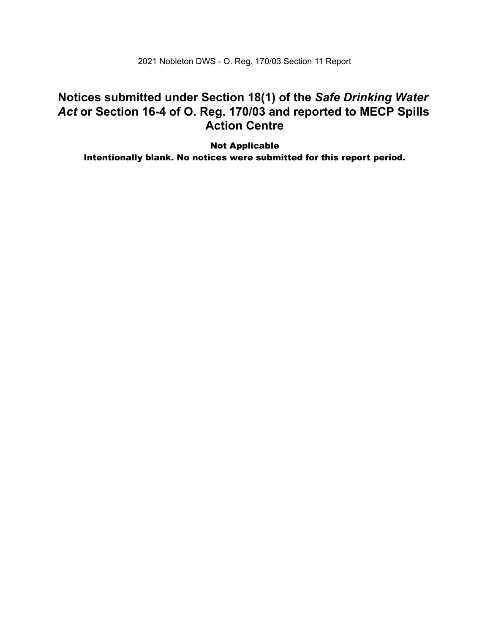2021 Nobleton DWS - O. Reg. 170/03 Section 11 Report

### **Notices submitted under Section 18(1) of the** *Safe Drinking Water*  *Act* **or Section 16-4 of O. Reg. 170/03 and reported to MECP Spills Action Centre**

 Intentionally blank. No notices were submitted for this report period.Not Applicable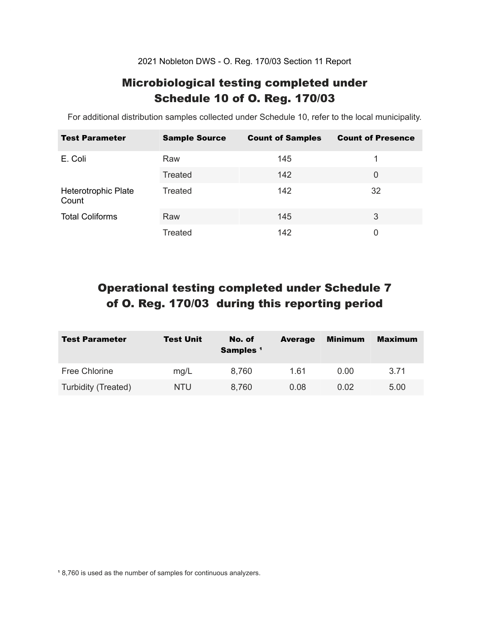2021 Nobleton DWS - O. Reg. 170/03 Section 11 Report

# Microbiological testing completed under Schedule 10 of O. Reg. 170/03

For additional distribution samples collected under Schedule 10, refer to the local municipality.

| <b>Test Parameter</b>        | <b>Sample Source</b> | <b>Count of Samples</b> | <b>Count of Presence</b> |
|------------------------------|----------------------|-------------------------|--------------------------|
| E. Coli                      | Raw                  | 145                     |                          |
|                              | Treated              | 142                     | 0                        |
| Heterotrophic Plate<br>Count | Treated              | 142                     | 32                       |
| <b>Total Coliforms</b>       | Raw                  | 145                     | 3                        |
|                              | Treated              | 142                     | 0                        |

# Operational testing completed under Schedule 7 of O. Reg. 170/03 during this reporting period

| <b>Test Parameter</b> | <b>Test Unit</b> | No. of<br>Samples <sup>1</sup> | <b>Average</b> | <b>Minimum</b> | <b>Maximum</b> |
|-----------------------|------------------|--------------------------------|----------------|----------------|----------------|
| Free Chlorine         | mg/L             | 8,760                          | 1.61           | 0.00           | 3.71           |
| Turbidity (Treated)   | NTU.             | 8,760                          | 0.08           | 0.02           | 5.00           |

<sup>1</sup> 8,760 is used as the number of samples for continuous analyzers.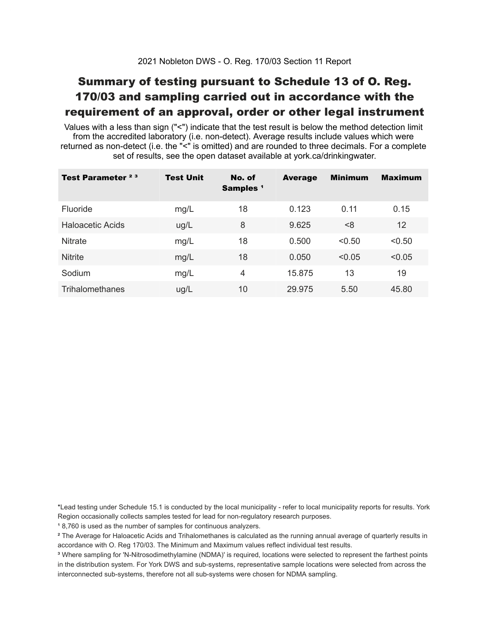# Summary of testing pursuant to Schedule 13 of O. Reg. 170/03 and sampling carried out in accordance with the requirement of an approval, order or other legal instrument

 Values with a less than sign ("<") indicate that the test result is below the method detection limit from the accredited laboratory (i.e. non-detect). Average results include values which were returned as non-detect (i.e. the "<" is omitted) and are rounded to three decimals. For a complete set of results, see the open dataset available at york.ca/drinkingwater.

| Test Parameter <sup>23</sup> | <b>Test Unit</b> | No. of<br>Samples <sup>1</sup> | <b>Average</b> | <b>Minimum</b> | <b>Maximum</b> |
|------------------------------|------------------|--------------------------------|----------------|----------------|----------------|
| Fluoride                     | mg/L             | 18                             | 0.123          | 0.11           | 0.15           |
| Haloacetic Acids             | ug/L             | 8                              | 9.625          | <8             | 12             |
| <b>Nitrate</b>               | mg/L             | 18                             | 0.500          | < 0.50         | < 0.50         |
| <b>Nitrite</b>               | mg/L             | 18                             | 0.050          | < 0.05         | < 0.05         |
| Sodium                       | mg/L             | 4                              | 15.875         | 13             | 19             |
| Trihalomethanes              | ug/L             | 10                             | 29.975         | 5.50           | 45.80          |

 \*Lead testing under Schedule 15.1 is conducted by the local municipality - refer to local municipality reports for results. York Region occasionally collects samples tested for lead for non-regulatory research purposes.

<sup>1</sup>8,760 is used as the number of samples for continuous analyzers.

 $\mathrm{^2}$  The Average for Haloacetic Acids and Trihalomethanes is calculated as the running annual average of quarterly results in accordance with O. Reg 170/03. The Minimum and Maximum values reflect individual test results.

<sup>3</sup> Where sampling for 'N-Nitrosodimethylamine (NDMA)' is required, locations were selected to represent the farthest points in the distribution system. For York DWS and sub-systems, representative sample locations were selected from across the interconnected sub-systems, therefore not all sub-systems were chosen for NDMA sampling.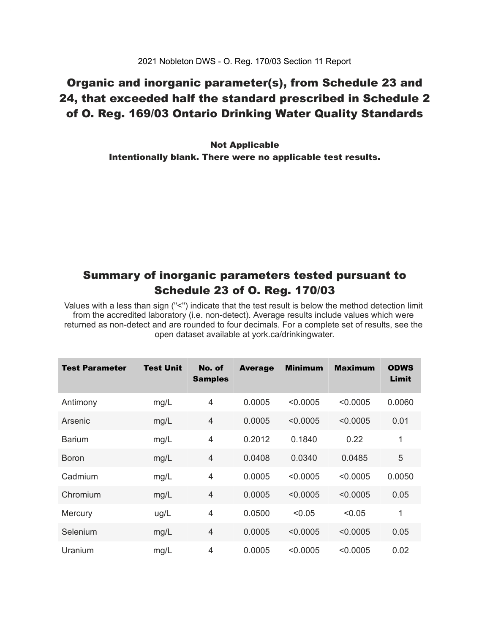# Organic and inorganic parameter(s), from Schedule 23 and 24, that exceeded half the standard prescribed in Schedule 2 of O. Reg. 169/03 Ontario Drinking Water Quality Standards

 Intentionally blank. There were no applicable test results. Not Applicable

### Summary of inorganic parameters tested pursuant to Schedule 23 of O. Reg. 170/03

 Values with a less than sign ("<") indicate that the test result is below the method detection limit from the accredited laboratory (i.e. non-detect). Average results include values which were returned as non-detect and are rounded to four decimals. For a complete set of results, see the open dataset available at york.ca/drinkingwater.

| <b>Test Parameter</b> | <b>Test Unit</b> | No. of<br><b>Samples</b> | <b>Average</b> | <b>Minimum</b> | <b>Maximum</b> | <b>ODWS</b><br>Limit |
|-----------------------|------------------|--------------------------|----------------|----------------|----------------|----------------------|
| Antimony              | mg/L             | 4                        | 0.0005         | < 0.0005       | < 0.0005       | 0.0060               |
| Arsenic               | mg/L             | $\overline{4}$           | 0.0005         | < 0.0005       | < 0.0005       | 0.01                 |
| <b>Barium</b>         | mg/L             | $\overline{4}$           | 0.2012         | 0.1840         | 0.22           | 1                    |
| <b>Boron</b>          | mg/L             | 4                        | 0.0408         | 0.0340         | 0.0485         | 5                    |
| Cadmium               | mg/L             | $\overline{4}$           | 0.0005         | < 0.0005       | < 0.0005       | 0.0050               |
| Chromium              | mg/L             | $\overline{4}$           | 0.0005         | < 0.0005       | < 0.0005       | 0.05                 |
| Mercury               | ug/L             | $\overline{4}$           | 0.0500         | < 0.05         | < 0.05         | 1                    |
| Selenium              | mg/L             | $\overline{4}$           | 0.0005         | < 0.0005       | < 0.0005       | 0.05                 |
| Uranium               | mg/L             | $\overline{4}$           | 0.0005         | < 0.0005       | < 0.0005       | 0.02                 |